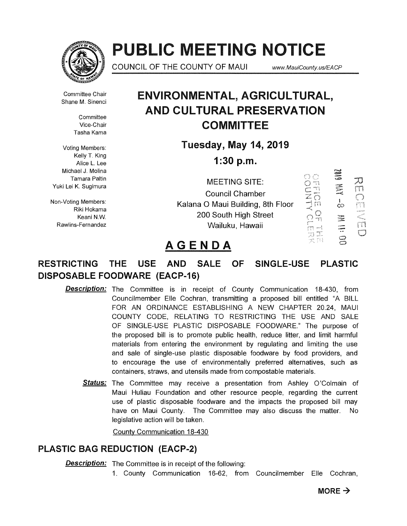

# **PUBLIC MEETING NOTICE**

COUNCIL OF THE COUNTY OF MAUI www.MauiCounty.us/EACP

Committee Chair Shane M. Sinenci

> **Committee** Vice-Chair Tasha Kama

Voting Members: Kelly T. King Alice L. Lee Michael J. Molina Tamara Paltin Yuki Lei K. Sugimura

Non-Voting Members: Riki Hokama Keani N.W. Rawlins-Fernandez

# **ENVIRONMENTAL, AGRICULTURAL, AND CULTURAL PRESERVATION COMMITTEE**

**Tuesday, May 14, 2019** 

**1:30 p.m.** 

MEETING SITE: Council Chamber Kalana 0 Maui Building, 8th Floor 200 South High Street Wailuku, Hawaii



# **AGENDA**

## **RESTRICTING THE USE AND SALE OF SINGLE-USE PLASTIC DISPOSABLE FOODWARE (EACP-16)**

- **Description:** The Committee is in receipt of County Communication 18-430, from Councilmember Elle Cochran, transmitting a proposed bill entitled "A BILL FOR AN ORDINANCE ESTABLISHING A NEW CHAPTER 20.24, MAUI COUNTY CODE, RELATING TO RESTRICTING THE USE AND SALE OF SINGLE-USE PLASTIC DISPOSABLE FOODWARE." The purpose of the proposed bill is to promote public health, reduce litter, and limit harmful materials from entering the environment by regulating and limiting the use and sale of single-use plastic disposable foodware by food providers, and to encourage the use of environmentally preferred alternatives, such as containers, straws, and utensils made from compostable materials.
	- **Status:** The Committee may receive a presentation from Ashley O'Colmain of Maui Huliau Foundation and other resource people, regarding the current use of plastic disposable foodware and the impacts the proposed bill may have on Maui County. The Committee may also discuss the matter. No legislative action will be taken.

County Communication 18-430

## **PLASTIC BAG REDUCTION (EACP-2)**

**Description:** The Committee is in receipt of the following:

1. County Communication 16-62, from Councilmember Elle Cochran,